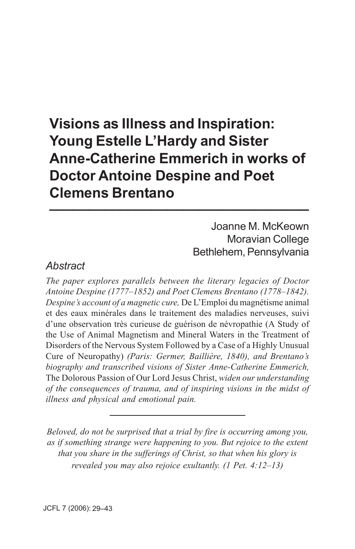# **Visions as Illness and Inspiration: Young Estelle L'Hardy and Sister Anne-Catherine Emmerich in works of Doctor Antoine Despine and Poet Clemens Brentano \_\_\_\_\_\_\_\_\_\_\_\_\_\_\_\_\_\_\_\_\_\_\_\_\_\_\_\_\_\_\_\_\_**

 Joanne M. McKeown Moravian College Bethlehem, Pennsylvania

## *Abstract*

*The paper explores parallels between the literary legacies of Doctor Antoine Despine (1777–1852) and Poet Clemens Brentano (1778–1842). Despine's account of a magnetic cure,* De L'Emploi du magnétisme animal et des eaux minérales dans le traitement des maladies nerveuses, suivi d'une observation très curieuse de guérison de névropathie (A Study of the Use of Animal Magnetism and Mineral Waters in the Treatment of Disorders of the Nervous System Followed by a Case of a Highly Unusual Cure of Neuropathy) *(Paris: Germer, Baillière, 1840), and Brentano's biography and transcribed visions of Sister Anne-Catherine Emmerich,* The Dolorous Passion of Our Lord Jesus Christ, *widen our understanding of the consequences of trauma, and of inspiring visions in the midst of illness and physical and emotional pain.*

*Beloved, do not be surprised that a trial by fire is occurring among you, as if something strange were happening to you. But rejoice to the extent that you share in the sufferings of Christ, so that when his glory is revealed you may also rejoice exultantly. (1 Pet. 4:12–13)*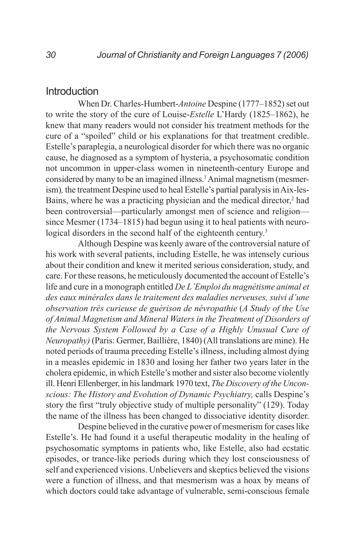### Introduction

When Dr. Charles-Humbert-*Antoine* Despine (1777–1852) set out to write the story of the cure of Louise-*Estelle* L'Hardy (1825–1862), he knew that many readers would not consider his treatment methods for the cure of a "spoiled" child or his explanations for that treatment credible. Estelle's paraplegia, a neurological disorder for which there was no organic cause, he diagnosed as a symptom of hysteria, a psychosomatic condition not uncommon in upper-class women in nineteenth-century Europe and considered by many to be an imagined illness.<sup>1</sup> Animal magnetism (mesmerism)*,* the treatment Despine used to heal Estelle's partial paralysis in Aix-les-Bains, where he was a practicing physician and the medical director,<sup>2</sup> had been controversial—particularly amongst men of science and religion since Mesmer (1734–1815) had begun using it to heal patients with neurological disorders in the second half of the eighteenth century.<sup>3</sup>

Although Despine was keenly aware of the controversial nature of his work with several patients, including Estelle, he was intensely curious about their condition and knew it merited serious consideration, study, and care. For these reasons, he meticulously documented the account of Estelle's life and cure in a monograph entitled *De L'Emploi du magnétisme animal et des eaux minérales dans le traitement des maladies nerveuses, suivi d'une observation très curieuse de guérison de névropathie* (*A Study of the Use of Animal Magnetism and Mineral Waters in the Treatment of Disorders of the Nervous System Followed by a Case of a Highly Unusual Cure of Neuropathy)* (Paris: Germer, Baillière, 1840) (All translations are mine). He noted periods of trauma preceding Estelle's illness, including almost dying in a measles epidemic in 1830 and losing her father two years later in the cholera epidemic, in which Estelle's mother and sister also become violently ill. Henri Ellenberger, in his landmark 1970 text, *The Discovery of the Unconscious: The History and Evolution of Dynamic Psychiatry,* calls Despine's story the first "truly objective study of multiple personality" (129). Today the name of the illness has been changed to dissociative identity disorder.

Despine believed in the curative power of mesmerism for cases like Estelle's. He had found it a useful therapeutic modality in the healing of psychosomatic symptoms in patients who, like Estelle, also had ecstatic episodes, or trance-like periods during which they lost consciousness of self and experienced visions. Unbelievers and skeptics believed the visions were a function of illness, and that mesmerism was a hoax by means of which doctors could take advantage of vulnerable, semi-conscious female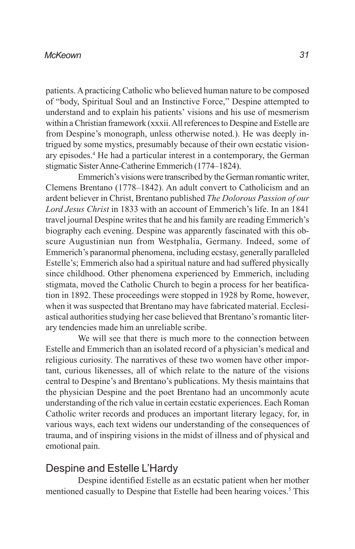patients. A practicing Catholic who believed human nature to be composed of "body, Spiritual Soul and an Instinctive Force," Despine attempted to understand and to explain his patients' visions and his use of mesmerism within a Christian framework (xxxii. All references to Despine and Estelle are from Despine's monograph, unless otherwise noted.). He was deeply intrigued by some mystics, presumably because of their own ecstatic visionary episodes.<sup>4</sup> He had a particular interest in a contemporary, the German stigmatic Sister Anne-Catherine Emmerich (1774–1824).

Emmerich's visions were transcribed by the German romantic writer, Clemens Brentano (1778–1842). An adult convert to Catholicism and an ardent believer in Christ, Brentano published *The Dolorous Passion of our Lord Jesus Christ* in 1833 with an account of Emmerich's life. In an 1841 travel journal Despine writes that he and his family are reading Emmerich's biography each evening. Despine was apparently fascinated with this obscure Augustinian nun from Westphalia, Germany. Indeed, some of Emmerich's paranormal phenomena, including ecstasy, generally paralleled Estelle's; Emmerich also had a spiritual nature and had suffered physically since childhood. Other phenomena experienced by Emmerich, including stigmata, moved the Catholic Church to begin a process for her beatification in 1892. These proceedings were stopped in 1928 by Rome, however, when it was suspected that Brentano may have fabricated material. Ecclesiastical authorities studying her case believed that Brentano's romantic literary tendencies made him an unreliable scribe.

We will see that there is much more to the connection between Estelle and Emmerich than an isolated record of a physician's medical and religious curiosity. The narratives of these two women have other important, curious likenesses, all of which relate to the nature of the visions central to Despine's and Brentano's publications. My thesis maintains that the physician Despine and the poet Brentano had an uncommonly acute understanding of the rich value in certain ecstatic experiences. Each Roman Catholic writer records and produces an important literary legacy, for, in various ways, each text widens our understanding of the consequences of trauma, and of inspiring visions in the midst of illness and of physical and emotional pain.

## Despine and Estelle L'Hardy

Despine identified Estelle as an ecstatic patient when her mother mentioned casually to Despine that Estelle had been hearing voices.<sup>5</sup> This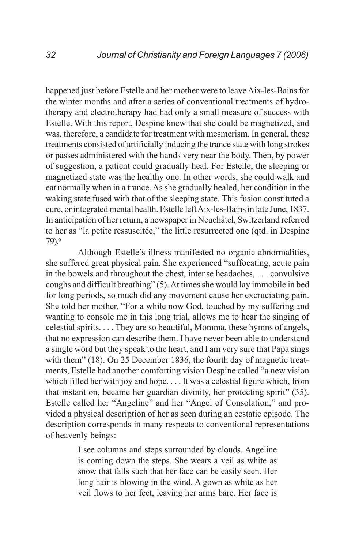happened just before Estelle and her mother were to leave Aix-les-Bains for the winter months and after a series of conventional treatments of hydrotherapy and electrotherapy had had only a small measure of success with Estelle. With this report, Despine knew that she could be magnetized, and was, therefore, a candidate for treatment with mesmerism. In general, these treatments consisted of artificially inducing the trance state with long strokes or passes administered with the hands very near the body. Then, by power of suggestion, a patient could gradually heal. For Estelle, the sleeping or magnetized state was the healthy one. In other words, she could walk and eat normally when in a trance. As she gradually healed, her condition in the waking state fused with that of the sleeping state. This fusion constituted a cure, or integrated mental health. Estelle left Aix-les-Bains in late June, 1837. In anticipation of her return, a newspaper in Neuchâtel, Switzerland referred to her as "la petite ressuscitée," the little resurrected one (qtd. in Despine 79).6

Although Estelle's illness manifested no organic abnormalities, she suffered great physical pain. She experienced "suffocating, acute pain in the bowels and throughout the chest, intense headaches, . . . convulsive coughs and difficult breathing" (5). At times she would lay immobile in bed for long periods, so much did any movement cause her excruciating pain. She told her mother, "For a while now God, touched by my suffering and wanting to console me in this long trial, allows me to hear the singing of celestial spirits. . . . They are so beautiful, Momma, these hymns of angels, that no expression can describe them. I have never been able to understand a single word but they speak to the heart, and I am very sure that Papa sings with them" (18). On 25 December 1836, the fourth day of magnetic treatments, Estelle had another comforting vision Despine called "a new vision which filled her with joy and hope. . . . It was a celestial figure which, from that instant on, became her guardian divinity, her protecting spirit" (35). Estelle called her "Angeline" and her "Angel of Consolation," and provided a physical description of her as seen during an ecstatic episode. The description corresponds in many respects to conventional representations of heavenly beings:

> I see columns and steps surrounded by clouds. Angeline is coming down the steps. She wears a veil as white as snow that falls such that her face can be easily seen. Her long hair is blowing in the wind. A gown as white as her veil flows to her feet, leaving her arms bare. Her face is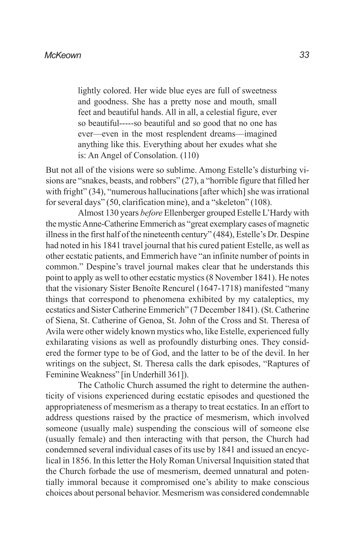lightly colored. Her wide blue eyes are full of sweetness and goodness. She has a pretty nose and mouth, small feet and beautiful hands. All in all, a celestial figure, ever so beautiful-----so beautiful and so good that no one has ever—even in the most resplendent dreams—imagined anything like this. Everything about her exudes what she is: An Angel of Consolation. (110)

But not all of the visions were so sublime. Among Estelle's disturbing visions are "snakes, beasts, and robbers" (27), a "horrible figure that filled her with fright" (34), "numerous hallucinations [after which] she was irrational for several days" (50, clarification mine), and a "skeleton" (108).

Almost 130 years *before* Ellenberger grouped Estelle L'Hardy with the mystic Anne-Catherine Emmerich as "great exemplary cases of magnetic illness in the first half of the nineteenth century" (484), Estelle's Dr. Despine had noted in his 1841 travel journal that his cured patient Estelle, as well as other ecstatic patients, and Emmerich have "an infinite number of points in common." Despine's travel journal makes clear that he understands this point to apply as well to other ecstatic mystics (8 November 1841). He notes that the visionary Sister Benoîte Rencurel (1647-1718) manifested "many things that correspond to phenomena exhibited by my cataleptics, my ecstatics and Sister Catherine Emmerich" (7 December 1841). (St. Catherine of Siena, St. Catherine of Genoa, St. John of the Cross and St. Theresa of Avila were other widely known mystics who, like Estelle, experienced fully exhilarating visions as well as profoundly disturbing ones. They considered the former type to be of God, and the latter to be of the devil. In her writings on the subject, St. Theresa calls the dark episodes, "Raptures of Feminine Weakness" [in Underhill 361]).

The Catholic Church assumed the right to determine the authenticity of visions experienced during ecstatic episodes and questioned the appropriateness of mesmerism as a therapy to treat ecstatics. In an effort to address questions raised by the practice of mesmerism, which involved someone (usually male) suspending the conscious will of someone else (usually female) and then interacting with that person, the Church had condemned several individual cases of its use by 1841 and issued an encyclical in 1856. In this letter the Holy Roman Universal Inquisition stated that the Church forbade the use of mesmerism, deemed unnatural and potentially immoral because it compromised one's ability to make conscious choices about personal behavior. Mesmerism was considered condemnable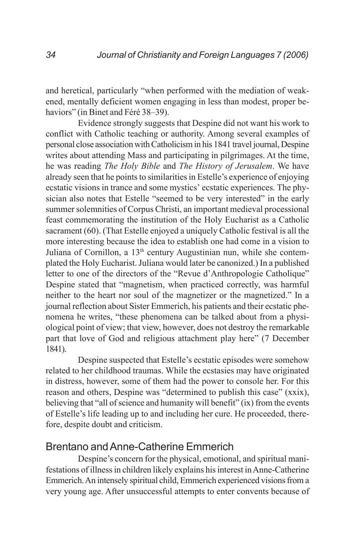and heretical, particularly "when performed with the mediation of weakened, mentally deficient women engaging in less than modest, proper behaviors" (in Binet and Féré 38–39).

Evidence strongly suggests that Despine did not want his work to conflict with Catholic teaching or authority. Among several examples of personal close association with Catholicism in his 1841 travel journal, Despine writes about attending Mass and participating in pilgrimages. At the time, he was reading *The Holy Bible* and *The History of Jerusalem*. We have already seen that he points to similarities in Estelle's experience of enjoying ecstatic visions in trance and some mystics' ecstatic experiences. The physician also notes that Estelle "seemed to be very interested" in the early summer solemnities of Corpus Christi, an important medieval processional feast commemorating the institution of the Holy Eucharist as a Catholic sacrament (60). (That Estelle enjoyed a uniquely Catholic festival is all the more interesting because the idea to establish one had come in a vision to Juliana of Cornillon, a 13<sup>th</sup> century Augustinian nun, while she contemplated the Holy Eucharist. Juliana would later be canonized.) In a published letter to one of the directors of the "Revue d'Anthropologie Catholique" Despine stated that "magnetism, when practiced correctly, was harmful neither to the heart nor soul of the magnetizer or the magnetized." In a journal reflection about Sister Emmerich, his patients and their ecstatic phenomena he writes, "these phenomena can be talked about from a physiological point of view; that view, however, does not destroy the remarkable part that love of God and religious attachment play here" (7 December 1841).

Despine suspected that Estelle's ecstatic episodes were somehow related to her childhood traumas. While the ecstasies may have originated in distress, however, some of them had the power to console her. For this reason and others, Despine was "determined to publish this case" (xxix), believing that "all of science and humanity will benefit" (ix) from the events of Estelle's life leading up to and including her cure. He proceeded, therefore, despite doubt and criticism.

## Brentano and Anne-Catherine Emmerich

Despine's concern for the physical, emotional, and spiritual manifestations of illness in children likely explains his interest in Anne-Catherine Emmerich. An intensely spiritual child, Emmerich experienced visions from a very young age. After unsuccessful attempts to enter convents because of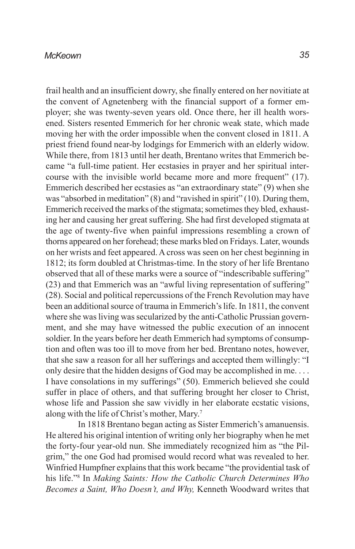frail health and an insufficient dowry, she finally entered on her novitiate at the convent of Agnetenberg with the financial support of a former employer; she was twenty-seven years old. Once there, her ill health worsened. Sisters resented Emmerich for her chronic weak state, which made moving her with the order impossible when the convent closed in 1811. A priest friend found near-by lodgings for Emmerich with an elderly widow. While there, from 1813 until her death, Brentano writes that Emmerich became "a full-time patient. Her ecstasies in prayer and her spiritual intercourse with the invisible world became more and more frequent" (17). Emmerich described her ecstasies as "an extraordinary state" (9) when she was "absorbed in meditation" (8) and "ravished in spirit" (10). During them, Emmerich received the marks of the stigmata; sometimes they bled, exhausting her and causing her great suffering. She had first developed stigmata at the age of twenty-five when painful impressions resembling a crown of thorns appeared on her forehead; these marks bled on Fridays. Later, wounds on her wrists and feet appeared. A cross was seen on her chest beginning in 1812; its form doubled at Christmas-time. In the story of her life Brentano observed that all of these marks were a source of "indescribable suffering" (23) and that Emmerich was an "awful living representation of suffering" (28). Social and political repercussions of the French Revolution may have been an additional source of trauma in Emmerich's life. In 1811, the convent where she was living was secularized by the anti-Catholic Prussian government, and she may have witnessed the public execution of an innocent soldier. In the years before her death Emmerich had symptoms of consumption and often was too ill to move from her bed. Brentano notes, however, that she saw a reason for all her sufferings and accepted them willingly: "I only desire that the hidden designs of God may be accomplished in me. . . . I have consolations in my sufferings" (50). Emmerich believed she could suffer in place of others, and that suffering brought her closer to Christ, whose life and Passion she saw vividly in her elaborate ecstatic visions, along with the life of Christ's mother, Mary.7

In 1818 Brentano began acting as Sister Emmerich's amanuensis. He altered his original intention of writing only her biography when he met the forty-four year-old nun. She immediately recognized him as "the Pilgrim," the one God had promised would record what was revealed to her. Winfried Humpfner explains that this work became "the providential task of his life."8 In *Making Saints: How the Catholic Church Determines Who Becomes a Saint, Who Doesn't, and Why,* Kenneth Woodward writes that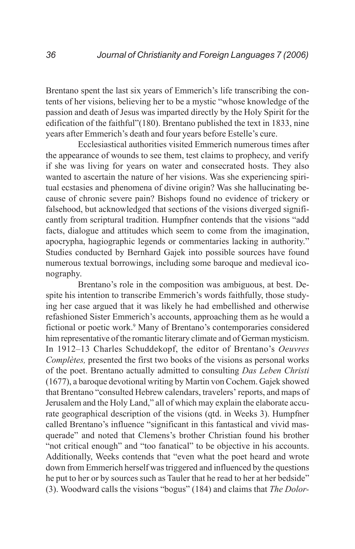Brentano spent the last six years of Emmerich's life transcribing the contents of her visions, believing her to be a mystic "whose knowledge of the passion and death of Jesus was imparted directly by the Holy Spirit for the edification of the faithful"(180). Brentano published the text in 1833, nine years after Emmerich's death and four years before Estelle's cure.

Ecclesiastical authorities visited Emmerich numerous times after the appearance of wounds to see them, test claims to prophecy, and verify if she was living for years on water and consecrated hosts. They also wanted to ascertain the nature of her visions. Was she experiencing spiritual ecstasies and phenomena of divine origin? Was she hallucinating because of chronic severe pain? Bishops found no evidence of trickery or falsehood, but acknowledged that sections of the visions diverged significantly from scriptural tradition. Humpfner contends that the visions "add facts, dialogue and attitudes which seem to come from the imagination, apocrypha, hagiographic legends or commentaries lacking in authority." Studies conducted by Bernhard Gajek into possible sources have found numerous textual borrowings, including some baroque and medieval iconography.

Brentano's role in the composition was ambiguous, at best. Despite his intention to transcribe Emmerich's words faithfully, those studying her case argued that it was likely he had embellished and otherwise refashioned Sister Emmerich's accounts, approaching them as he would a fictional or poetic work.<sup>9</sup> Many of Brentano's contemporaries considered him representative of the romantic literary climate and of German mysticism. In 1912–13 Charles Schuddekopf, the editor of Brentano's *Oeuvres Complètes,* presented the first two books of the visions as personal works of the poet. Brentano actually admitted to consulting *Das Leben Christi* (1677), a baroque devotional writing by Martin von Cochem. Gajek showed that Brentano "consulted Hebrew calendars, travelers' reports, and maps of Jerusalem and the Holy Land," all of which may explain the elaborate accurate geographical description of the visions (qtd. in Weeks 3). Humpfner called Brentano's influence "significant in this fantastical and vivid masquerade" and noted that Clemens's brother Christian found his brother "not critical enough" and "too fanatical" to be objective in his accounts. Additionally, Weeks contends that "even what the poet heard and wrote down from Emmerich herself was triggered and influenced by the questions he put to her or by sources such as Tauler that he read to her at her bedside" (3). Woodward calls the visions "bogus" (184) and claims that *The Dolor-*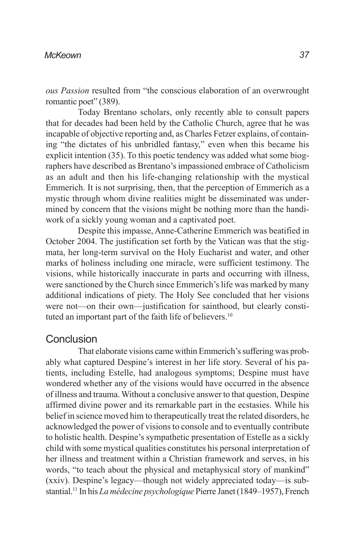*ous Passion* resulted from "the conscious elaboration of an overwrought romantic poet" (389).

Today Brentano scholars, only recently able to consult papers that for decades had been held by the Catholic Church, agree that he was incapable of objective reporting and, as Charles Fetzer explains, of containing "the dictates of his unbridled fantasy," even when this became his explicit intention (35). To this poetic tendency was added what some biographers have described as Brentano's impassioned embrace of Catholicism as an adult and then his life-changing relationship with the mystical Emmerich. It is not surprising, then, that the perception of Emmerich as a mystic through whom divine realities might be disseminated was undermined by concern that the visions might be nothing more than the handiwork of a sickly young woman and a captivated poet.

Despite this impasse, Anne-Catherine Emmerich was beatified in October 2004. The justification set forth by the Vatican was that the stigmata, her long-term survival on the Holy Eucharist and water, and other marks of holiness including one miracle, were sufficient testimony. The visions, while historically inaccurate in parts and occurring with illness, were sanctioned by the Church since Emmerich's life was marked by many additional indications of piety. The Holy See concluded that her visions were not—on their own—justification for sainthood, but clearly constituted an important part of the faith life of believers.<sup>10</sup>

### **Conclusion**

That elaborate visions came within Emmerich's suffering was probably what captured Despine's interest in her life story. Several of his patients, including Estelle, had analogous symptoms; Despine must have wondered whether any of the visions would have occurred in the absence of illness and trauma. Without a conclusive answer to that question, Despine affirmed divine power and its remarkable part in the ecstasies. While his belief in science moved him to therapeutically treat the related disorders, he acknowledged the power of visions to console and to eventually contribute to holistic health. Despine's sympathetic presentation of Estelle as a sickly child with some mystical qualities constitutes his personal interpretation of her illness and treatment within a Christian framework and serves, in his words, "to teach about the physical and metaphysical story of mankind" (xxiv). Despine's legacy—though not widely appreciated today—is substantial.11 In his *La médecine psychologique* Pierre Janet (1849–1957), French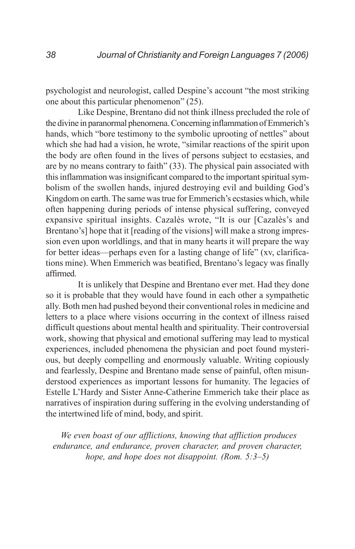psychologist and neurologist, called Despine's account "the most striking one about this particular phenomenon" (25).

Like Despine, Brentano did not think illness precluded the role of the divine in paranormal phenomena. Concerning inflammation of Emmerich's hands, which "bore testimony to the symbolic uprooting of nettles" about which she had had a vision, he wrote, "similar reactions of the spirit upon the body are often found in the lives of persons subject to ecstasies, and are by no means contrary to faith" (33). The physical pain associated with this inflammation was insignificant compared to the important spiritual symbolism of the swollen hands, injured destroying evil and building God's Kingdom on earth. The same was true for Emmerich's ecstasies which, while often happening during periods of intense physical suffering, conveyed expansive spiritual insights. Cazalès wrote, "It is our [Cazalès's and Brentano's] hope that it [reading of the visions] will make a strong impression even upon worldlings, and that in many hearts it will prepare the way for better ideas—perhaps even for a lasting change of life" (xv, clarifications mine). When Emmerich was beatified, Brentano's legacy was finally affirmed.

It is unlikely that Despine and Brentano ever met. Had they done so it is probable that they would have found in each other a sympathetic ally. Both men had pushed beyond their conventional roles in medicine and letters to a place where visions occurring in the context of illness raised difficult questions about mental health and spirituality. Their controversial work, showing that physical and emotional suffering may lead to mystical experiences, included phenomena the physician and poet found mysterious, but deeply compelling and enormously valuable. Writing copiously and fearlessly, Despine and Brentano made sense of painful, often misunderstood experiences as important lessons for humanity. The legacies of Estelle L'Hardy and Sister Anne-Catherine Emmerich take their place as narratives of inspiration during suffering in the evolving understanding of the intertwined life of mind, body, and spirit.

*We even boast of our afflictions, knowing that affliction produces endurance, and endurance, proven character, and proven character, hope, and hope does not disappoint. (Rom. 5:3–5)*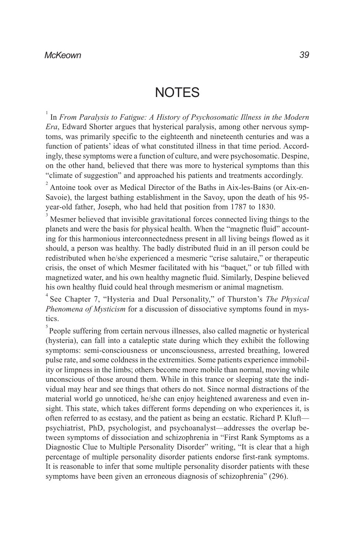## **NOTES**

1 In *From Paralysis to Fatigue: A History of Psychosomatic Illness in the Modern Era*, Edward Shorter argues that hysterical paralysis, among other nervous symptoms, was primarily specific to the eighteenth and nineteenth centuries and was a function of patients' ideas of what constituted illness in that time period. Accordingly, these symptoms were a function of culture, and were psychosomatic. Despine, on the other hand, believed that there was more to hysterical symptoms than this "climate of suggestion" and approached his patients and treatments accordingly.

<sup>2</sup> Antoine took over as Medical Director of the Baths in Aix-les-Bains (or Aix-en-Savoie), the largest bathing establishment in the Savoy, upon the death of his 95 year-old father, Joseph, who had held that position from 1787 to 1830.

3 Mesmer believed that invisible gravitational forces connected living things to the planets and were the basis for physical health. When the "magnetic fluid" accounting for this harmonious interconnectedness present in all living beings flowed as it should, a person was healthy. The badly distributed fluid in an ill person could be redistributed when he/she experienced a mesmeric "crise salutaire," or therapeutic crisis, the onset of which Mesmer facilitated with his "baquet," or tub filled with magnetized water, and his own healthy magnetic fluid. Similarly, Despine believed his own healthy fluid could heal through mesmerism or animal magnetism.

4 See Chapter 7, "Hysteria and Dual Personality," of Thurston's *The Physical Phenomena of Mysticism* for a discussion of dissociative symptoms found in mystics.

 $5$  People suffering from certain nervous illnesses, also called magnetic or hysterical (hysteria), can fall into a cataleptic state during which they exhibit the following symptoms: semi-consciousness or unconsciousness, arrested breathing, lowered pulse rate, and some coldness in the extremities. Some patients experience immobility or limpness in the limbs; others become more mobile than normal, moving while unconscious of those around them. While in this trance or sleeping state the individual may hear and see things that others do not. Since normal distractions of the material world go unnoticed, he/she can enjoy heightened awareness and even insight. This state, which takes different forms depending on who experiences it, is often referred to as ecstasy, and the patient as being an ecstatic. Richard P. Kluft psychiatrist, PhD, psychologist, and psychoanalyst—addresses the overlap between symptoms of dissociation and schizophrenia in "First Rank Symptoms as a Diagnostic Clue to Multiple Personality Disorder" writing, "It is clear that a high percentage of multiple personality disorder patients endorse first-rank symptoms. It is reasonable to infer that some multiple personality disorder patients with these symptoms have been given an erroneous diagnosis of schizophrenia" (296).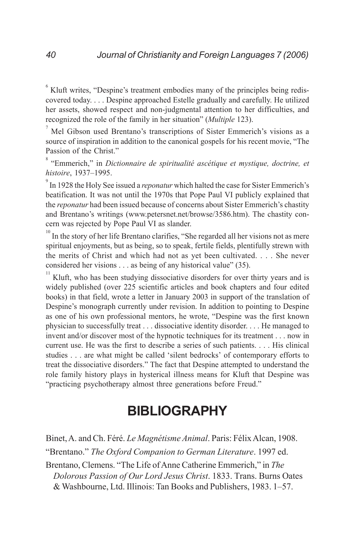<sup>6</sup> Kluft writes, "Despine's treatment embodies many of the principles being rediscovered today. . . . Despine approached Estelle gradually and carefully. He utilized her assets, showed respect and non-judgmental attention to her difficulties, and recognized the role of the family in her situation" (*Multiple* 123).

 $^7$  Mel Gibson used Brentano's transcriptions of Sister Emmerich's visions as a source of inspiration in addition to the canonical gospels for his recent movie, "The Passion of the Christ."

8 "Emmerich," in *Dictionnaire de spiritualité ascétique et mystique, doctrine, et histoire*, 1937–1995.

9 In 1928 the Holy See issued a *reponatur* which halted the case for Sister Emmerich's beatification. It was not until the 1970s that Pope Paul VI publicly explained that the *reponatur* had been issued because of concerns about Sister Emmerich's chastity and Brentano's writings (www.petersnet.net/browse/3586.htm). The chastity concern was rejected by Pope Paul VI as slander.

<sup>10</sup> In the story of her life Brentano clarifies, "She regarded all her visions not as mere spiritual enjoyments, but as being, so to speak, fertile fields, plentifully strewn with the merits of Christ and which had not as yet been cultivated. . . . She never considered her visions . . . as being of any historical value" (35).

Kluft, who has been studying dissociative disorders for over thirty years and is widely published (over 225 scientific articles and book chapters and four edited books) in that field, wrote a letter in January 2003 in support of the translation of Despine's monograph currently under revision. In addition to pointing to Despine as one of his own professional mentors, he wrote, "Despine was the first known physician to successfully treat . . . dissociative identity disorder. . . . He managed to invent and/or discover most of the hypnotic techniques for its treatment . . . now in current use. He was the first to describe a series of such patients. . . . His clinical studies . . . are what might be called 'silent bedrocks' of contemporary efforts to treat the dissociative disorders." The fact that Despine attempted to understand the role family history plays in hysterical illness means for Kluft that Despine was "practicing psychotherapy almost three generations before Freud."

## **BIBLIOGRAPHY**

Binet, A. and Ch. Féré. *Le Magnétisme Animal*. Paris: Félix Alcan, 1908. "Brentano." *The Oxford Companion to German Literature*. 1997 ed. Brentano, Clemens. "The Life of Anne Catherine Emmerich," in *The Dolorous Passion of Our Lord Jesus Christ*. 1833. Trans. Burns Oates

& Washbourne, Ltd. Illinois: Tan Books and Publishers, 1983. 1–57.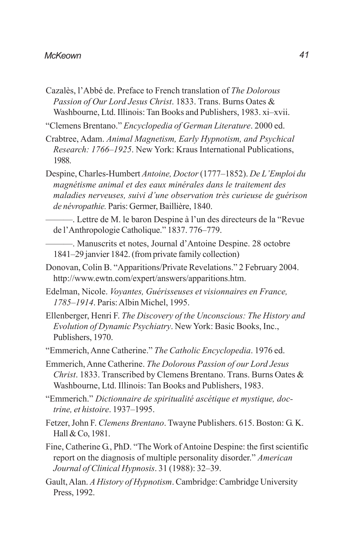- Cazalès, l'Abbé de. Preface to French translation of *The Dolorous Passion of Our Lord Jesus Christ*. 1833. Trans. Burns Oates & Washbourne, Ltd. Illinois: Tan Books and Publishers, 1983. xi–xvii.
- "Clemens Brentano." *Encyclopedia of German Literature*. 2000 ed.
- Crabtree, Adam. *Animal Magnetism, Early Hypnotism, and Psychical Research: 1766–1925*. New York: Kraus International Publications, 1988.
- Despine, Charles-Humbert *Antoine, Doctor* (1777–1852). *De L'Emploi du magnétisme animal et des eaux minérales dans le traitement des maladies nerveuses, suivi d'une observation très curieuse de guérison de névropathie.* Paris: Germer, Baillière, 1840.
- ———. Lettre de M. le baron Despine à l'un des directeurs de la "Revue de l'Anthropologie Catholique." 1837. 776–779.
- ———. Manuscrits et notes, Journal d'Antoine Despine. 28 octobre 1841–29 janvier 1842. (from private family collection)
- Donovan, Colin B. "Apparitions/Private Revelations." 2 February 2004. http://www.ewtn.com/expert/answers/apparitions.htm.
- Edelman, Nicole. *Voyantes, Guérisseuses et visionnaires en France, 1785–1914*. Paris: Albin Michel, 1995.
- Ellenberger, Henri F. *The Discovery of the Unconscious: The History and Evolution of Dynamic Psychiatry*. New York: Basic Books, Inc., Publishers, 1970.
- "Emmerich, Anne Catherine." *The Catholic Encyclopedia*. 1976 ed.
- Emmerich, Anne Catherine. *The Dolorous Passion of our Lord Jesus Christ*. 1833. Transcribed by Clemens Brentano. Trans. Burns Oates & Washbourne, Ltd. Illinois: Tan Books and Publishers, 1983.
- "Emmerich." *Dictionnaire de spiritualité ascétique et mystique, doctrine, et histoire*. 1937–1995.
- Fetzer, John F. *Clemens Brentano*. Twayne Publishers. 615. Boston: G. K. Hall & Co, 1981.
- Fine, Catherine G., PhD. "The Work of Antoine Despine: the first scientific report on the diagnosis of multiple personality disorder." *American Journal of Clinical Hypnosis*. 31 (1988): 32–39.
- Gault, Alan. *A History of Hypnotism*. Cambridge: Cambridge University Press, 1992.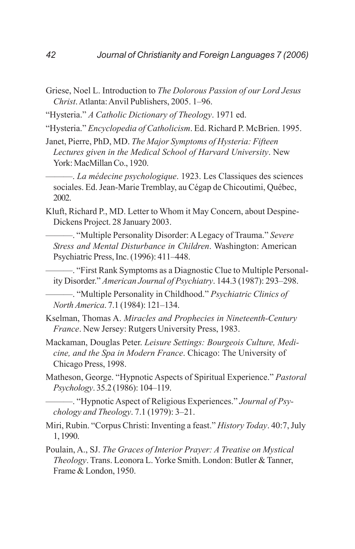- Griese, Noel L. Introduction to *The Dolorous Passion of our Lord Jesus Christ*. Atlanta: Anvil Publishers, 2005. 1–96.
- "Hysteria." *A Catholic Dictionary of Theology*. 1971 ed.
- "Hysteria." *Encyclopedia of Catholicism*. Ed. Richard P. McBrien. 1995.
- Janet, Pierre, PhD, MD. *The Major Symptoms of Hysteria: Fifteen Lectures given in the Medical School of Harvard University*. New York: MacMillan Co., 1920.

———. *La médecine psychologique*. 1923. Les Classiques des sciences sociales. Ed. Jean-Marie Tremblay, au Cégap de Chicoutimi, Québec, 2002.

- Kluft, Richard P., MD. Letter to Whom it May Concern, about Despine-Dickens Project. 28 January 2003.
	- ———. "Multiple Personality Disorder: A Legacy of Trauma." *Severe Stress and Mental Disturbance in Children*. Washington: American Psychiatric Press, Inc. (1996): 411–448.

———. "First Rank Symptoms as a Diagnostic Clue to Multiple Personality Disorder." *American Journal of Psychiatry*. 144.3 (1987): 293–298.

———. "Multiple Personality in Childhood." *Psychiatric Clinics of North America*. 7.1 (1984): 121–134.

- Kselman, Thomas A. *Miracles and Prophecies in Nineteenth-Century France*. New Jersey: Rutgers University Press, 1983.
- Mackaman, Douglas Peter. *Leisure Settings: Bourgeois Culture, Medicine, and the Spa in Modern France*. Chicago: The University of Chicago Press, 1998.
- Matheson, George. "Hypnotic Aspects of Spiritual Experience." *Pastoral Psychology*. 35.2 (1986): 104–119.
	- ———. "Hypnotic Aspect of Religious Experiences." *Journal of Psychology and Theology*. 7.1 (1979): 3–21.
- Miri, Rubin. "Corpus Christi: Inventing a feast." *History Today*. 40:7, July 1, 1990.
- Poulain, A., SJ. *The Graces of Interior Prayer: A Treatise on Mystical Theology*. Trans. Leonora L. Yorke Smith. London: Butler & Tanner, Frame & London, 1950.